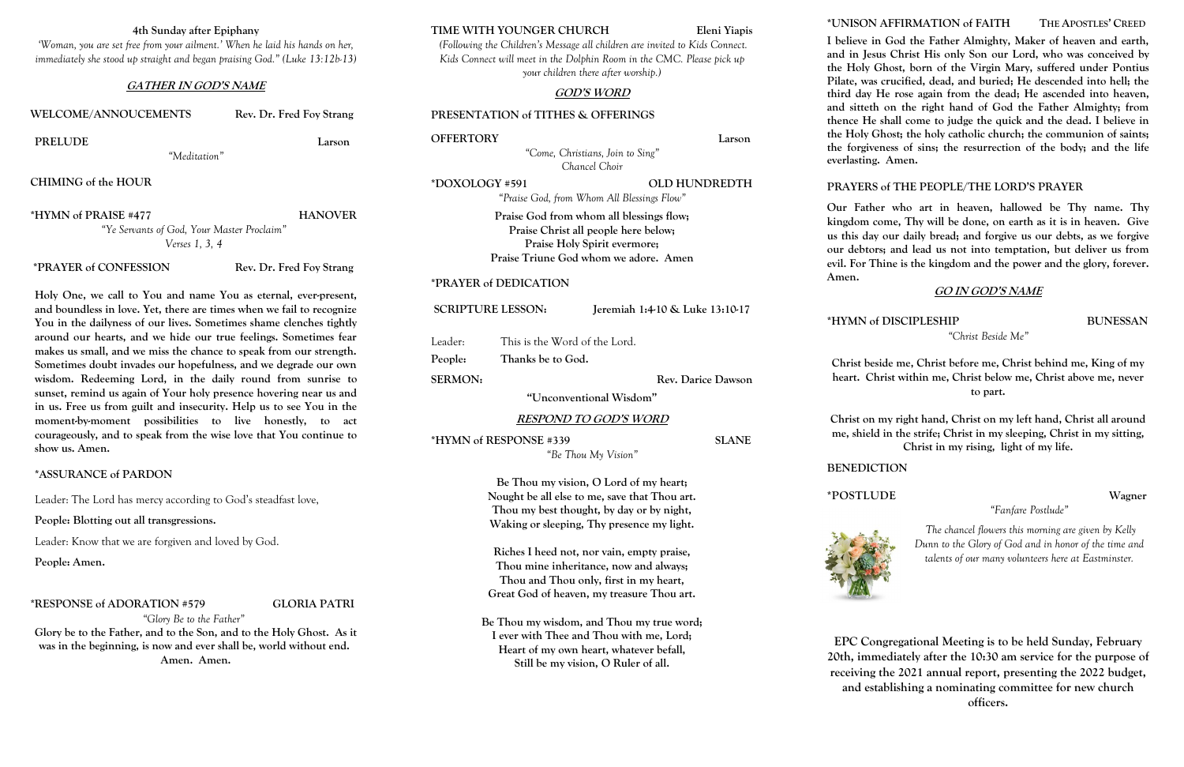# **4th Sunday after Epiphany**

*'Woman, you are set free from your ailment.' When he laid his hands on her, immediately she stood up straight and began praising God." (Luke 13:12b-13)*

## **GATHER IN GOD'S NAME**

## WELCOME/ANNOUCEMENTS Rev. Dr. Fred Foy Strang

### **PRELUDE Larson**

*"Meditation"*

**CHIMING of the HOUR**

**\*HYMN of PRAISE #477 HANOVER** *"Ye Servants of God, Your Master Proclaim" Verses 1, 3, 4*

**\*PRAYER of CONFESSION Rev. Dr. Fred Foy Strang**

**Holy One, we call to You and name You as eternal, ever-present, and boundless in love. Yet, there are times when we fail to recognize You in the dailyness of our lives. Sometimes shame clenches tightly around our hearts, and we hide our true feelings. Sometimes fear makes us small, and we miss the chance to speak from our strength. Sometimes doubt invades our hopefulness, and we degrade our own wisdom. Redeeming Lord, in the daily round from sunrise to sunset, remind us again of Your holy presence hovering near us and in us. Free us from guilt and insecurity. Help us to see You in the moment-by-moment possibilities to live honestly, to act courageously, and to speak from the wise love that You continue to show us. Amen.**

# **\*ASSURANCE of PARDON**

Leader: The Lord has mercy according to God's steadfast love,

**People: Blotting out all transgressions.**

Leader: Know that we are forgiven and loved by God.

**People: Amen.**

## **\*RESPONSE of ADORATION #579 GLORIA PATRI**

*"Glory Be to the Father"*

**Glory be to the Father, and to the Son, and to the Holy Ghost. As it was in the beginning, is now and ever shall be, world without end. Amen. Amen.**

### **TIME WITH YOUNGER CHURCH Eleni Yiapis**

*(Following the Children's Message all children are invited to Kids Connect. Kids Connect will meet in the Dolphin Room in the CMC. Please pick up your children there after worship.)*

# **GOD'S WORD**

### **PRESENTATION of TITHES & OFFERINGS**

| OFFERTORY |  |  | Larson |  |
|-----------|--|--|--------|--|
|           |  |  |        |  |

*"Come, Christians, Join to Sing" Chancel Choir*

**\*DOXOLOGY #591 OLD HUNDREDTH**

*"Praise God, from Whom All Blessings Flow"* **Praise God from whom all blessings flow; Praise Christ all people here below; Praise Holy Spirit evermore; Praise Triune God whom we adore. Amen**

## **\*PRAYER of DEDICATION**

| <b>SCRIPTURE LESSON:</b> | Jeremiah 1:4-10 & Luke 13:10-17 |
|--------------------------|---------------------------------|
|                          |                                 |

Leader: This is the Word of the Lord.

**People: Thanks be to God.**

SERMON: Rev. Darice Dawson

**"Unconventional Wisdom"**

### **RESPOND TO GOD'S WORD**

**\*HYMN of RESPONSE #339 SLANE**

*"Be Thou My Vision"*

**Be Thou my vision, O Lord of my heart; Nought be all else to me, save that Thou art. Thou my best thought, by day or by night, Waking or sleeping, Thy presence my light.**

**Riches I heed not, nor vain, empty praise, Thou mine inheritance, now and always; Thou and Thou only, first in my heart, Great God of heaven, my treasure Thou art.**

**Be Thou my wisdom, and Thou my true word; I ever with Thee and Thou with me, Lord; Heart of my own heart, whatever befall, Still be my vision, O Ruler of all.**

# **\*UNISON AFFIRMATION of FAITH THE APOSTLES' CREED**

**I believe in God the Father Almighty, Maker of heaven and earth, and in Jesus Christ His only Son our Lord, who was conceived by the Holy Ghost, born of the Virgin Mary, suffered under Pontius Pilate, was crucified, dead, and buried; He descended into hell; the third day He rose again from the dead; He ascended into heaven, and sitteth on the right hand of God the Father Almighty; from thence He shall come to judge the quick and the dead. I believe in the Holy Ghost; the holy catholic church; the communion of saints; the forgiveness of sins; the resurrection of the body; and the life everlasting. Amen.**

# **PRAYERS of THE PEOPLE/THE LORD'S PRAYER**

**Our Father who art in heaven, hallowed be Thy name. Thy kingdom come, Thy will be done, on earth as it is in heaven. Give us this day our daily bread; and forgive us our debts, as we forgive our debtors; and lead us not into temptation, but deliver us from evil. For Thine is the kingdom and the power and the glory, forever.** 

**Amen.** 

# **GO IN GOD'S NAME**

**\*HYMN of DISCIPLESHIP BUNESSAN**

*"Christ Beside Me"*

**Christ beside me, Christ before me, Christ behind me, King of my heart. Christ within me, Christ below me, Christ above me, never to part.**

**Christ on my right hand, Christ on my left hand, Christ all around me, shield in the strife; Christ in my sleeping, Christ in my sitting, Christ in my rising, light of my life.**

**BENEDICTION**

**\*POSTLUDE Wagner** 



*"Fanfare Postlude"*

*The chancel flowers this morning are given by Kelly Dunn to the Glory of God and in honor of the time and talents of our many volunteers here at Eastminster.*



**EPC Congregational Meeting is to be held Sunday, February 20th, immediately after the 10:30 am service for the purpose of receiving the 2021 annual report, presenting the 2022 budget, and establishing a nominating committee for new church officers.**